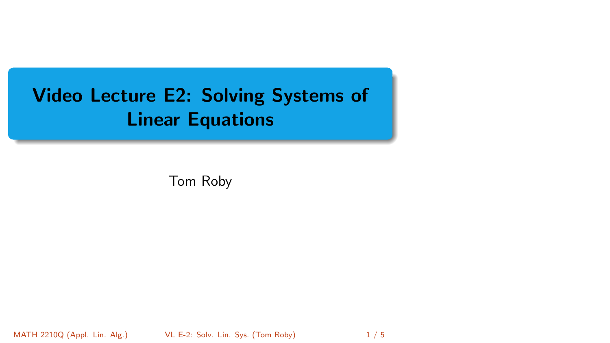# <span id="page-0-0"></span>Video Lecture E2: Solving Systems of Linear Equations

Tom Roby

MATH 2210Q (Appl. Lin. Alg.) [VL E-2: Solv. Lin. Sys.](#page-4-0) (Tom Roby) 1 / 5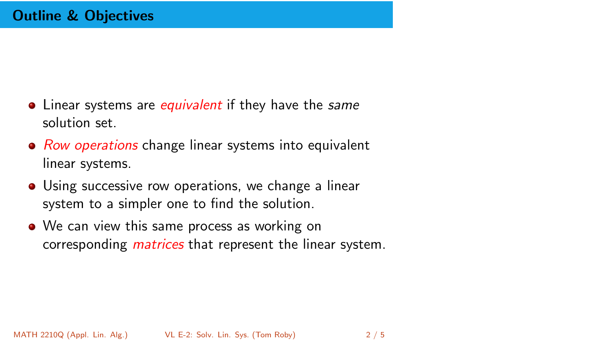- Linear systems are *equivalent* if they have the same solution set.
- Row operations change linear systems into equivalent linear systems.
- **•** Using successive row operations, we change a linear system to a simpler one to find the solution.
- We can view this same process as working on corresponding *matrices* that represent the linear system.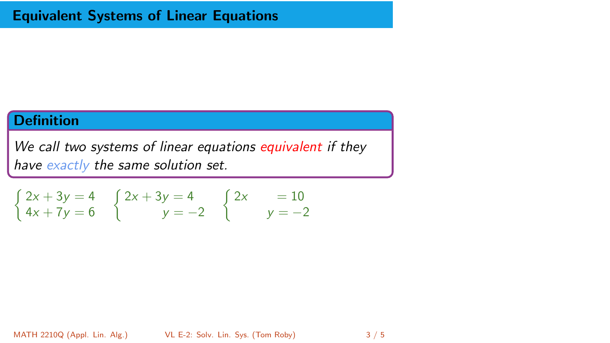## **Definition**

We call two systems of linear equations equivalent if they have exactly the same solution set.

$$
\begin{cases} 2x + 3y = 4 \\ 4x + 7y = 6 \end{cases} \begin{cases} 2x + 3y = 4 \\ y = -2 \end{cases} \begin{cases} 2x = 10 \\ y = -2 \end{cases}
$$

MATH 2210Q (Appl. Lin. Alg.) [VL E-2: Solv. Lin. Sys.](#page-0-0) (Tom Roby) 3/5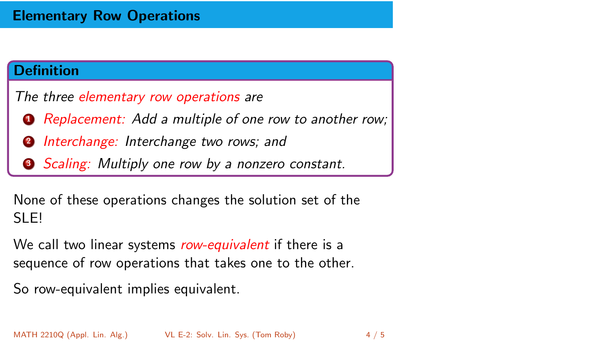## Elementary Row Operations

#### Definition

The three elementary row operations are

- **1** Replacement: Add a multiple of one row to another row;
- **2** Interchange: Interchange two rows; and
- **3** Scaling: Multiply one row by a nonzero constant.

None of these operations changes the solution set of the SLE!

We call two linear systems *row-equivalent* if there is a sequence of row operations that takes one to the other.

So row-equivalent implies equivalent.